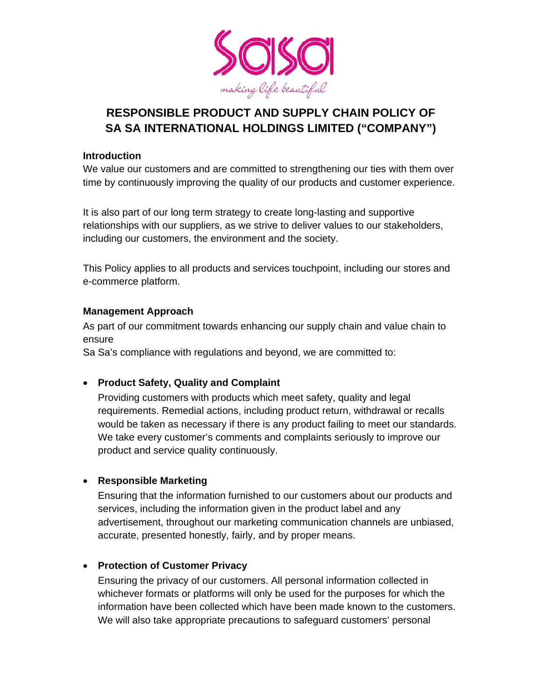

# **RESPONSIBLE PRODUCT AND SUPPLY CHAIN POLICY OF SA SA INTERNATIONAL HOLDINGS LIMITED ("COMPANY")**

#### **Introduction**

We value our customers and are committed to strengthening our ties with them over time by continuously improving the quality of our products and customer experience.

It is also part of our long term strategy to create long-lasting and supportive relationships with our suppliers, as we strive to deliver values to our stakeholders, including our customers, the environment and the society.

This Policy applies to all products and services touchpoint, including our stores and e-commerce platform.

### **Management Approach**

As part of our commitment towards enhancing our supply chain and value chain to ensure

Sa Sa's compliance with regulations and beyond, we are committed to:

# **Product Safety, Quality and Complaint**

Providing customers with products which meet safety, quality and legal requirements. Remedial actions, including product return, withdrawal or recalls would be taken as necessary if there is any product failing to meet our standards. We take every customer's comments and complaints seriously to improve our product and service quality continuously.

# **Responsible Marketing**

Ensuring that the information furnished to our customers about our products and services, including the information given in the product label and any advertisement, throughout our marketing communication channels are unbiased, accurate, presented honestly, fairly, and by proper means.

# **Protection of Customer Privacy**

Ensuring the privacy of our customers. All personal information collected in whichever formats or platforms will only be used for the purposes for which the information have been collected which have been made known to the customers. We will also take appropriate precautions to safeguard customers' personal